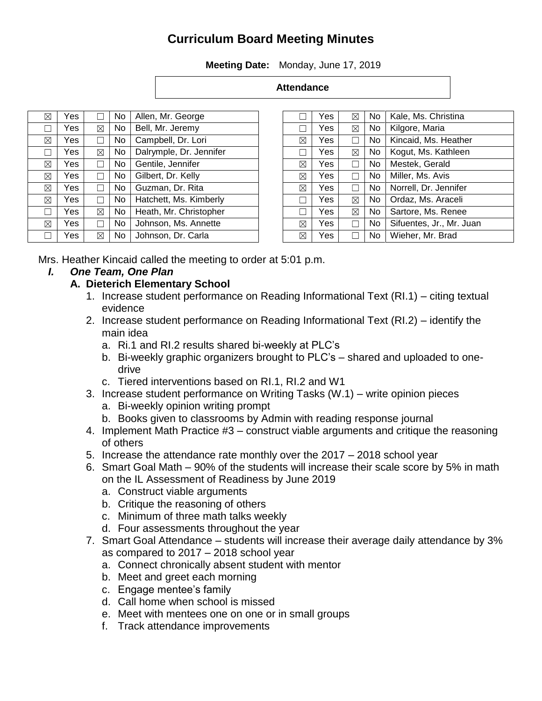# **Curriculum Board Meeting Minutes**

**Meeting Date:** Monday, June 17, 2019

#### **Attendance**

| ⊠ | Yes |   | No  | Allen, Mr. George       |
|---|-----|---|-----|-------------------------|
|   | Yes | ⊠ | No  | Bell, Mr. Jeremy        |
| ⊠ | Yes |   | No  | Campbell, Dr. Lori      |
|   | Yes | ⊠ | No  | Dalrymple, Dr. Jennifer |
| ⊠ | Yes |   | No  | Gentile, Jennifer       |
| ⊠ | Yes |   | No  | Gilbert, Dr. Kelly      |
| ⊠ | Yes |   | No  | Guzman, Dr. Rita        |
| ⊠ | Yes |   | No  | Hatchett, Ms. Kimberly  |
|   | Yes | ⊠ | No  | Heath, Mr. Christopher  |
| ⊠ | Yes |   | No. | Johnson, Ms. Annette    |
|   | Yes | ⊠ | No  | Johnson, Dr. Carla      |

|             | Yes | ⊠           | No  | Kale, Ms. Christina      |
|-------------|-----|-------------|-----|--------------------------|
|             | Yes | ⊠           | No. | Kilgore, Maria           |
| ⊠           | Yes |             | No  | Kincaid, Ms. Heather     |
|             | Yes | ⊠           | No  | Kogut, Ms. Kathleen      |
| ⊠           | Yes |             | No. | Mestek, Gerald           |
| $\boxtimes$ | Yes |             | No. | Miller, Ms. Avis         |
| ⊠           | Yes |             | No  | Norrell, Dr. Jennifer    |
|             | Yes | ⊠           | No  | Ordaz, Ms. Araceli       |
|             | Yes | $\boxtimes$ | No  | Sartore, Ms. Renee       |
| ⊠           | Yes |             | No  | Sifuentes, Jr., Mr. Juan |
| ⊠           | Yes |             | No  | Wieher, Mr. Brad         |

Mrs. Heather Kincaid called the meeting to order at 5:01 p.m.

#### *I. One Team, One Plan*

#### **A. Dieterich Elementary School**

- 1. Increase student performance on Reading Informational Text (RI.1) citing textual evidence
- 2. Increase student performance on Reading Informational Text (RI.2) identify the main idea
	- a. Ri.1 and RI.2 results shared bi-weekly at PLC's
	- b. Bi-weekly graphic organizers brought to PLC's shared and uploaded to onedrive
	- c. Tiered interventions based on RI.1, RI.2 and W1
- 3. Increase student performance on Writing Tasks (W.1) write opinion pieces a. Bi-weekly opinion writing prompt
	- b. Books given to classrooms by Admin with reading response journal
- 4. Implement Math Practice #3 construct viable arguments and critique the reasoning of others
- 5. Increase the attendance rate monthly over the 2017 2018 school year
- 6. Smart Goal Math 90% of the students will increase their scale score by 5% in math on the IL Assessment of Readiness by June 2019
	- a. Construct viable arguments
	- b. Critique the reasoning of others
	- c. Minimum of three math talks weekly
	- d. Four assessments throughout the year
- 7. Smart Goal Attendance students will increase their average daily attendance by 3% as compared to 2017 – 2018 school year
	- a. Connect chronically absent student with mentor
	- b. Meet and greet each morning
	- c. Engage mentee's family
	- d. Call home when school is missed
	- e. Meet with mentees one on one or in small groups
	- f. Track attendance improvements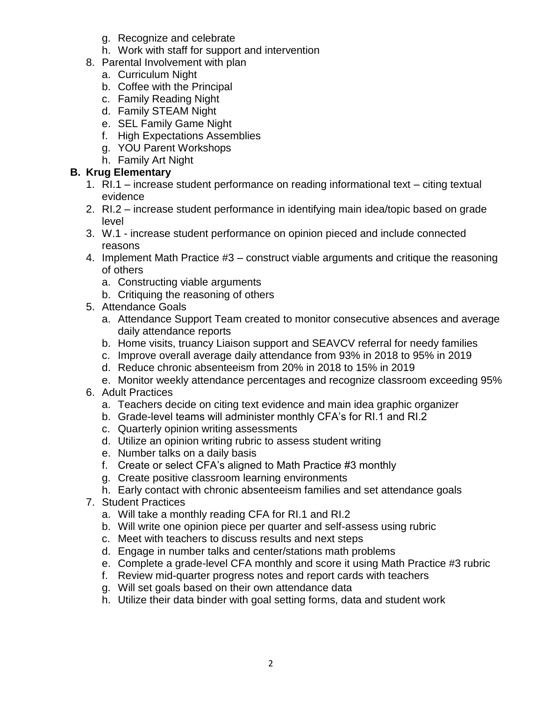- g. Recognize and celebrate
- h. Work with staff for support and intervention
- 8. Parental Involvement with plan
	- a. Curriculum Night
	- b. Coffee with the Principal
	- c. Family Reading Night
	- d. Family STEAM Night
	- e. SEL Family Game Night
	- f. High Expectations Assemblies
	- g. YOU Parent Workshops
	- h. Family Art Night

#### **B. Krug Elementary**

- 1. RI.1 increase student performance on reading informational text citing textual evidence
- 2. RI.2 increase student performance in identifying main idea/topic based on grade level
- 3. W.1 increase student performance on opinion pieced and include connected reasons
- 4. Implement Math Practice #3 construct viable arguments and critique the reasoning of others
	- a. Constructing viable arguments
	- b. Critiquing the reasoning of others
- 5. Attendance Goals
	- a. Attendance Support Team created to monitor consecutive absences and average daily attendance reports
	- b. Home visits, truancy Liaison support and SEAVCV referral for needy families
	- c. Improve overall average daily attendance from 93% in 2018 to 95% in 2019
	- d. Reduce chronic absenteeism from 20% in 2018 to 15% in 2019
	- e. Monitor weekly attendance percentages and recognize classroom exceeding 95%
- 6. Adult Practices
	- a. Teachers decide on citing text evidence and main idea graphic organizer
	- b. Grade-level teams will administer monthly CFA's for RI.1 and RI.2
	- c. Quarterly opinion writing assessments
	- d. Utilize an opinion writing rubric to assess student writing
	- e. Number talks on a daily basis
	- f. Create or select CFA's aligned to Math Practice #3 monthly
	- g. Create positive classroom learning environments
	- h. Early contact with chronic absenteeism families and set attendance goals
- 7. Student Practices
	- a. Will take a monthly reading CFA for RI.1 and RI.2
	- b. Will write one opinion piece per quarter and self-assess using rubric
	- c. Meet with teachers to discuss results and next steps
	- d. Engage in number talks and center/stations math problems
	- e. Complete a grade-level CFA monthly and score it using Math Practice #3 rubric
	- f. Review mid-quarter progress notes and report cards with teachers
	- g. Will set goals based on their own attendance data
	- h. Utilize their data binder with goal setting forms, data and student work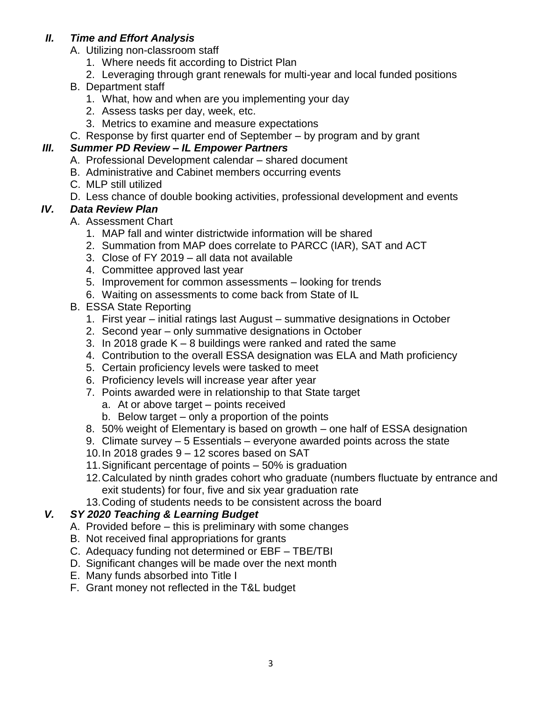#### *II. Time and Effort Analysis*

- A. Utilizing non-classroom staff
	- 1. Where needs fit according to District Plan
	- 2. Leveraging through grant renewals for multi-year and local funded positions
- B. Department staff
	- 1. What, how and when are you implementing your day
	- 2. Assess tasks per day, week, etc.
	- 3. Metrics to examine and measure expectations
- C. Response by first quarter end of September by program and by grant

## *III. Summer PD Review – IL Empower Partners*

- A. Professional Development calendar shared document
- B. Administrative and Cabinet members occurring events
- C. MLP still utilized
- D. Less chance of double booking activities, professional development and events

## *IV. Data Review Plan*

- A. Assessment Chart
	- 1. MAP fall and winter districtwide information will be shared
	- 2. Summation from MAP does correlate to PARCC (IAR), SAT and ACT
	- 3. Close of FY 2019 all data not available
	- 4. Committee approved last year
	- 5. Improvement for common assessments looking for trends
	- 6. Waiting on assessments to come back from State of IL
- B. ESSA State Reporting
	- 1. First year initial ratings last August summative designations in October
	- 2. Second year only summative designations in October
	- 3. In 2018 grade K 8 buildings were ranked and rated the same
	- 4. Contribution to the overall ESSA designation was ELA and Math proficiency
	- 5. Certain proficiency levels were tasked to meet
	- 6. Proficiency levels will increase year after year
	- 7. Points awarded were in relationship to that State target
		- a. At or above target points received
		- b. Below target only a proportion of the points
	- 8. 50% weight of Elementary is based on growth one half of ESSA designation
	- 9. Climate survey 5 Essentials everyone awarded points across the state
	- 10.In 2018 grades 9 12 scores based on SAT
	- 11.Significant percentage of points 50% is graduation
	- 12.Calculated by ninth grades cohort who graduate (numbers fluctuate by entrance and exit students) for four, five and six year graduation rate
	- 13.Coding of students needs to be consistent across the board

## *V. SY 2020 Teaching & Learning Budget*

- A. Provided before this is preliminary with some changes
- B. Not received final appropriations for grants
- C. Adequacy funding not determined or EBF TBE/TBI
- D. Significant changes will be made over the next month
- E. Many funds absorbed into Title I
- F. Grant money not reflected in the T&L budget